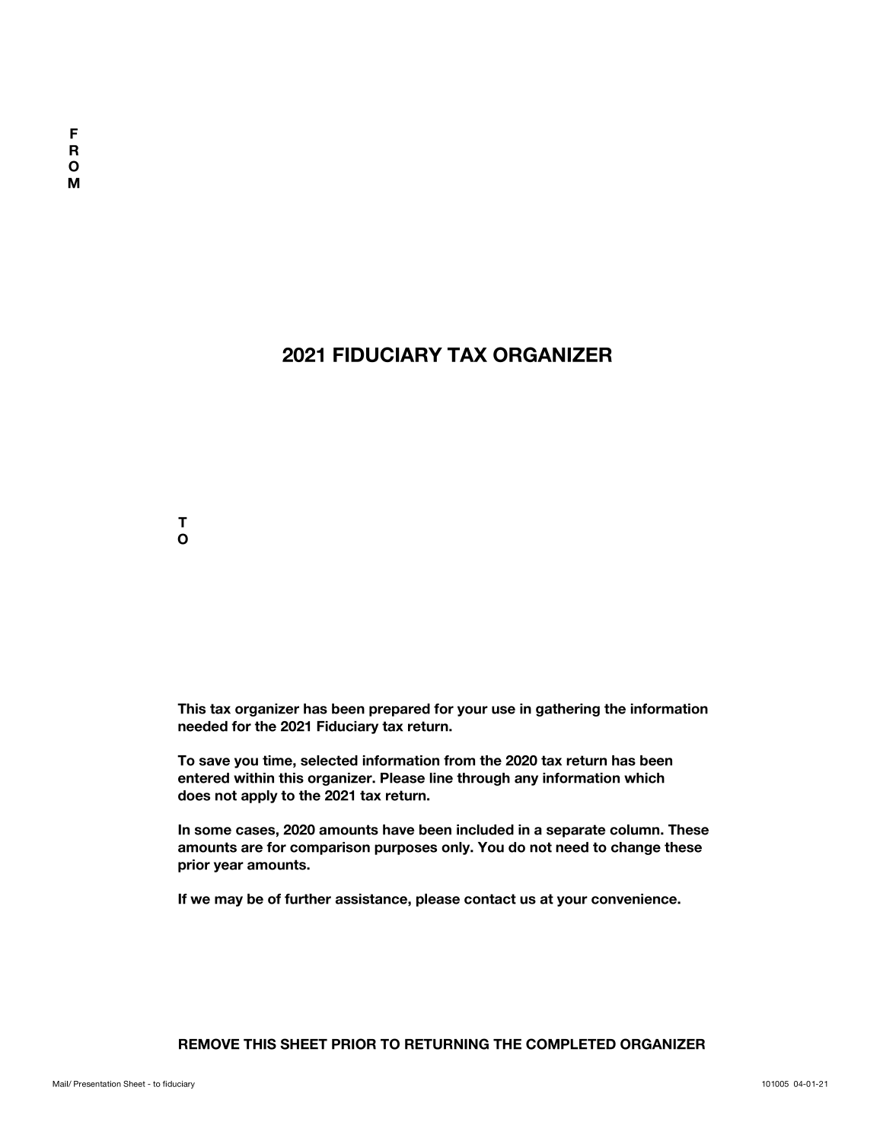### **2021 FIDUCIARY TAX ORGANIZER**



**This tax organizer has been prepared for your use in gathering the information needed for the 2021 Fiduciary tax return.**

**To save you time, selected information from the 2020 tax return has been entered within this organizer. Please line through any information which does not apply to the 2021 tax return.**

**In some cases, 2020 amounts have been included in a separate column. These amounts are for comparison purposes only. You do not need to change these prior year amounts.**

**If we may be of further assistance, please contact us at your convenience.**

### **REMOVE THIS SHEET PRIOR TO RETURNING THE COMPLETED ORGANIZER**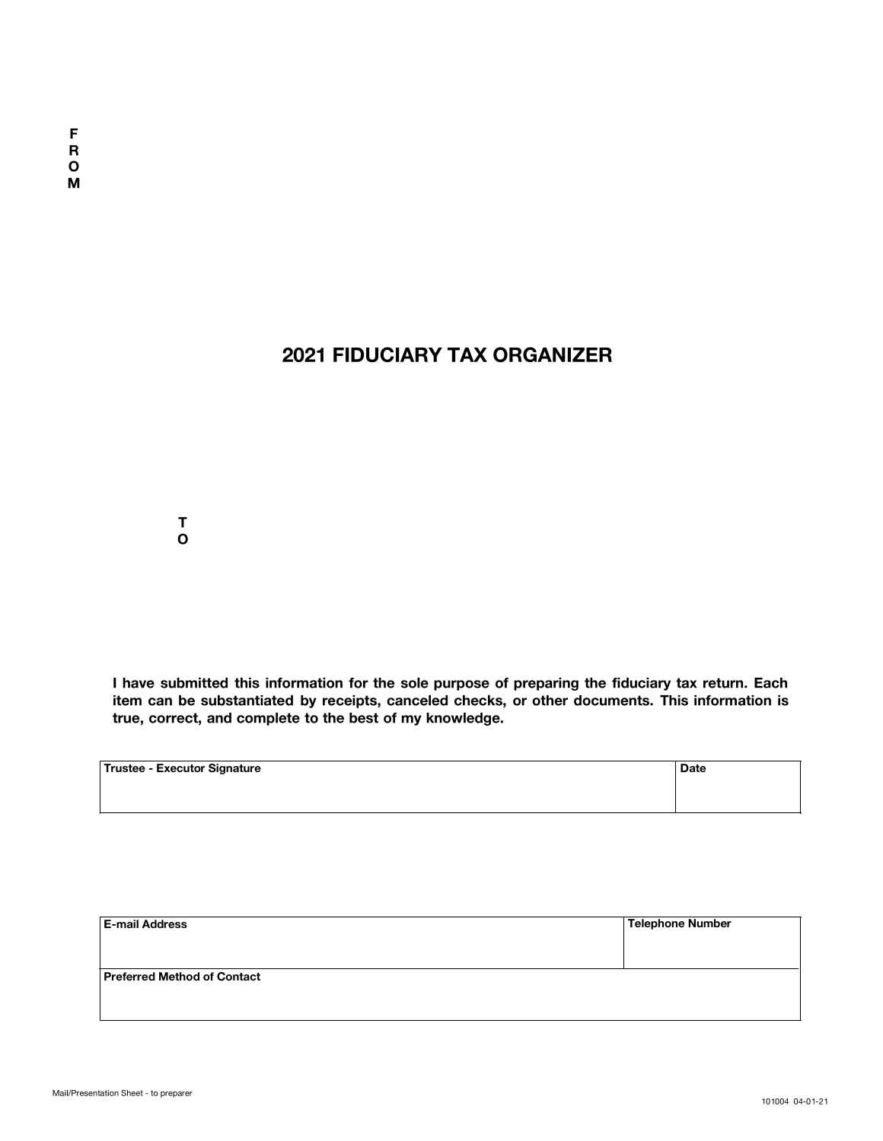## **2021 FIDUCIARY TAX ORGANIZER**

**T O**

**I have submitted this information for the sole purpose of preparing the fiduciary tax return. Each item can be substantiated by receipts, canceled checks, or other documents. This information is true, correct, and complete to the best of my knowledge.**

| Trustee - Executor Signature | <b>Date</b> |
|------------------------------|-------------|
|                              |             |
|                              |             |

| <b>E-mail Address</b>       | <b>Telephone Number</b> |
|-----------------------------|-------------------------|
|                             |                         |
| Preferred Method of Contact |                         |
|                             |                         |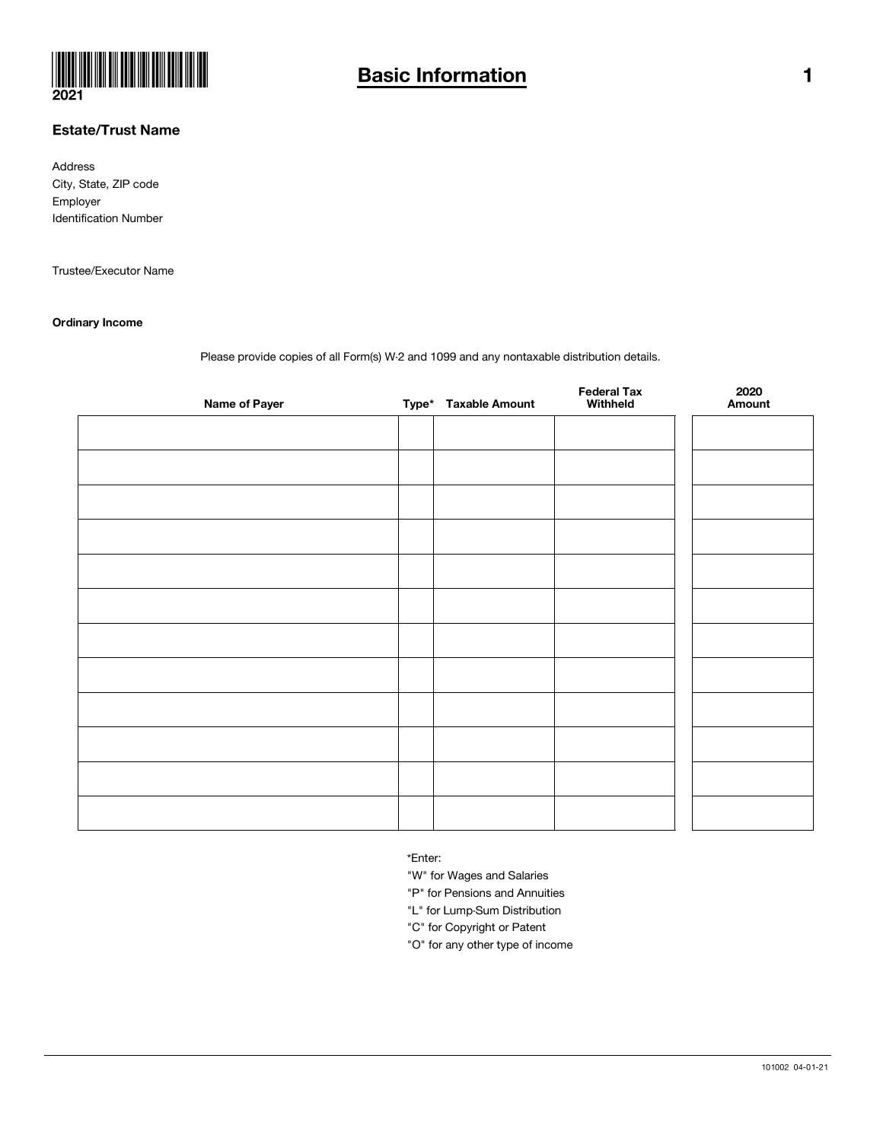

### Estate/Trust Name

Address City, State, ZIP code Employer Identification Number

Trustee/Executor Name

#### Ordinary Income

Please provide copies of all Form(s) W-2 and 1099 and any nontaxable distribution details.

| <b>Name of Payer</b> | Type* Taxable Amount | <b>Federal Tax</b><br>Withheld | 2020<br>Amount |
|----------------------|----------------------|--------------------------------|----------------|
|                      |                      |                                |                |
|                      |                      |                                |                |
|                      |                      |                                |                |
|                      |                      |                                |                |
|                      |                      |                                |                |
|                      |                      |                                |                |
|                      |                      |                                |                |
|                      |                      |                                |                |
|                      |                      |                                |                |
|                      |                      |                                |                |
|                      |                      |                                |                |
|                      |                      |                                |                |
|                      |                      |                                |                |

\*Enter:

"W" for Wages and Salaries

"P" for Pensions and Annuities

"L" for Lump-Sum Distribution

"C" for Copyright or Patent

"O" for any other type of income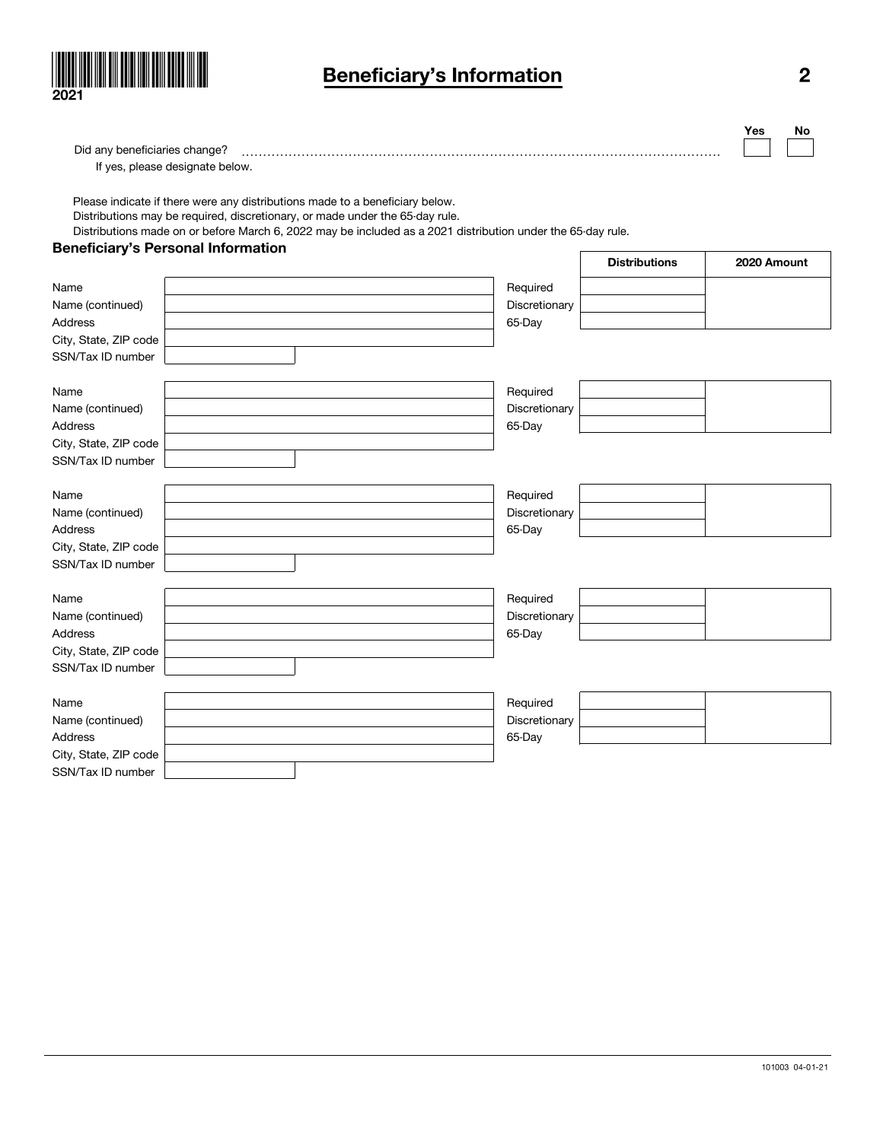

## Beneficiary's Information 2

| Did any beneficiaries change?  |  |  |  |
|--------------------------------|--|--|--|
| If ves, please designate below |  |  |  |

 $\overline{\phantom{a}}$ 

Please indicate if there were any distributions made to a beneficiary below. Distributions may be required, discretionary, or made under the 65-day rule.

Distributions made on or before March 6, 2022 may be included as a 2021 distribution under the 65-day rule.

### Beneficiary's Personal Information

|                       |               | <b>Distributions</b> | 2020 Amount |
|-----------------------|---------------|----------------------|-------------|
| Name                  | Required      |                      |             |
| Name (continued)      | Discretionary |                      |             |
| <b>Address</b>        | 65-Day        |                      |             |
| City, State, ZIP code |               |                      |             |
| SSN/Tax ID number     |               |                      |             |
|                       |               |                      |             |
| Name                  | Required      |                      |             |
| Name (continued)      | Discretionary |                      |             |
| <b>Address</b>        | 65-Day        |                      |             |
| City, State, ZIP code |               |                      |             |
| SSN/Tax ID number     |               |                      |             |
| Name                  | Required      |                      |             |
| Name (continued)      | Discretionary |                      |             |
| <b>Address</b>        | 65-Day        |                      |             |
| City, State, ZIP code |               |                      |             |
| SSN/Tax ID number     |               |                      |             |
|                       |               |                      |             |
| Name                  | Required      |                      |             |
| Name (continued)      | Discretionary |                      |             |
| Address               | 65-Day        |                      |             |
| City, State, ZIP code |               |                      |             |
| SSN/Tax ID number     |               |                      |             |
| Name                  | Required      |                      |             |
| Name (continued)      | Discretionary |                      |             |
| <b>Address</b>        | 65-Day        |                      |             |
| City, State, ZIP code |               |                      |             |
| SSN/Tax ID number     |               |                      |             |

Yes No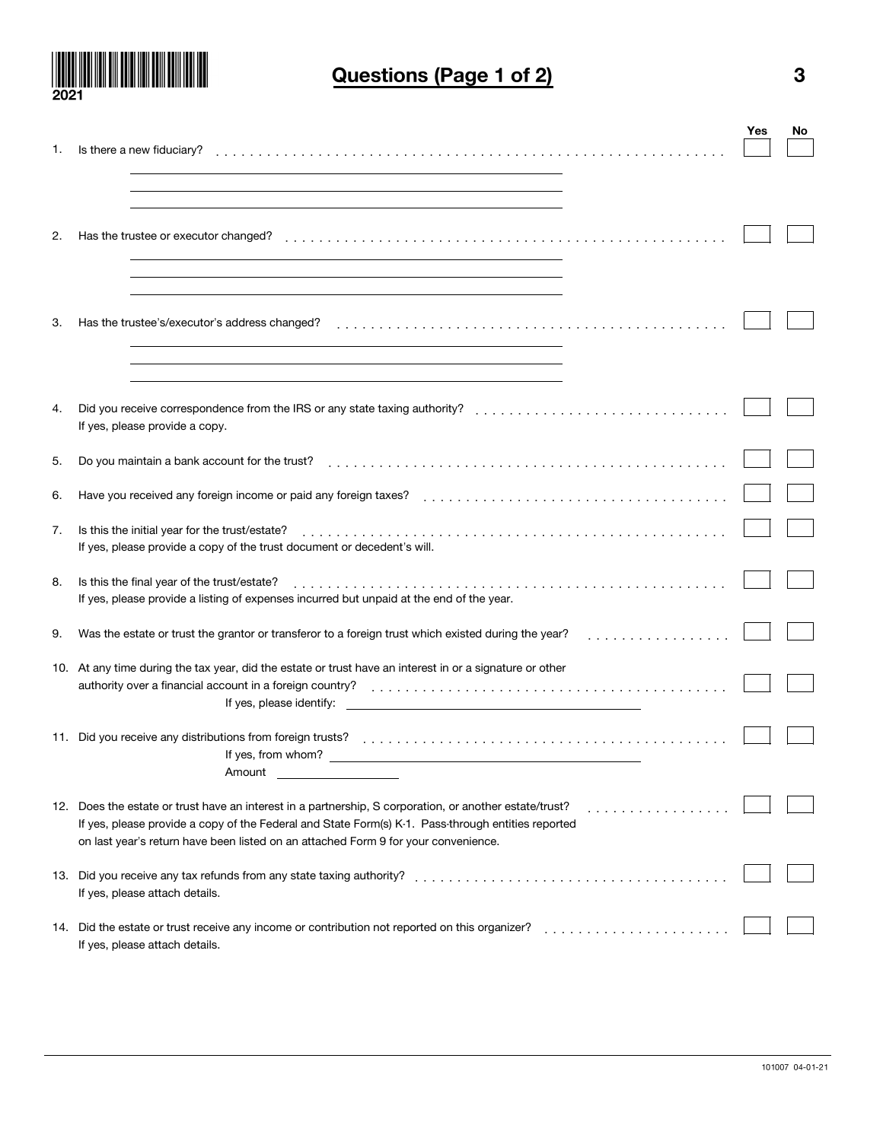

# Questions (Page 1 of 2) 3

|     |                                                                                                                 | Yes | No |
|-----|-----------------------------------------------------------------------------------------------------------------|-----|----|
| 1.  | Is there a new fiduciary?                                                                                       |     |    |
|     |                                                                                                                 |     |    |
|     |                                                                                                                 |     |    |
|     |                                                                                                                 |     |    |
| 2.  | Has the trustee or executor changed?                                                                            |     |    |
|     |                                                                                                                 |     |    |
|     |                                                                                                                 |     |    |
|     |                                                                                                                 |     |    |
|     |                                                                                                                 |     |    |
| 3.  | Has the trustee's/executor's address changed?                                                                   |     |    |
|     |                                                                                                                 |     |    |
|     |                                                                                                                 |     |    |
|     |                                                                                                                 |     |    |
| 4.  |                                                                                                                 |     |    |
|     | If yes, please provide a copy.                                                                                  |     |    |
| 5.  |                                                                                                                 |     |    |
|     |                                                                                                                 |     |    |
| 6.  |                                                                                                                 |     |    |
|     |                                                                                                                 |     |    |
| 7.  | Is this the initial year for the trust/estate?                                                                  |     |    |
|     | If yes, please provide a copy of the trust document or decedent's will.                                         |     |    |
| 8.  | Is this the final year of the trust/estate?                                                                     |     |    |
|     | If yes, please provide a listing of expenses incurred but unpaid at the end of the year.                        |     |    |
|     |                                                                                                                 |     |    |
| 9.  | Was the estate or trust the grantor or transferor to a foreign trust which existed during the year?<br>.        |     |    |
|     |                                                                                                                 |     |    |
|     | 10. At any time during the tax year, did the estate or trust have an interest in or a signature or other        |     |    |
|     | If yes, please identify:                                                                                        |     |    |
|     |                                                                                                                 |     |    |
|     | 11. Did you receive any distributions from foreign trusts?                                                      |     |    |
|     | If yes, from whom?<br>the control of the control of the control of the control of the control of the control of |     |    |
|     | Amount                                                                                                          |     |    |
|     | 12. Does the estate or trust have an interest in a partnership, S corporation, or another estate/trust?         |     |    |
|     | If yes, please provide a copy of the Federal and State Form(s) K-1. Pass-through entities reported              |     |    |
|     | on last year's return have been listed on an attached Form 9 for your convenience.                              |     |    |
|     |                                                                                                                 |     |    |
| 13. | Did you receive any tax refunds from any state taxing authority?                                                |     |    |
|     | If yes, please attach details.                                                                                  |     |    |
|     | 14. Did the estate or trust receive any income or contribution not reported on this organizer?                  |     |    |
|     | If yes, please attach details.                                                                                  |     |    |
|     |                                                                                                                 |     |    |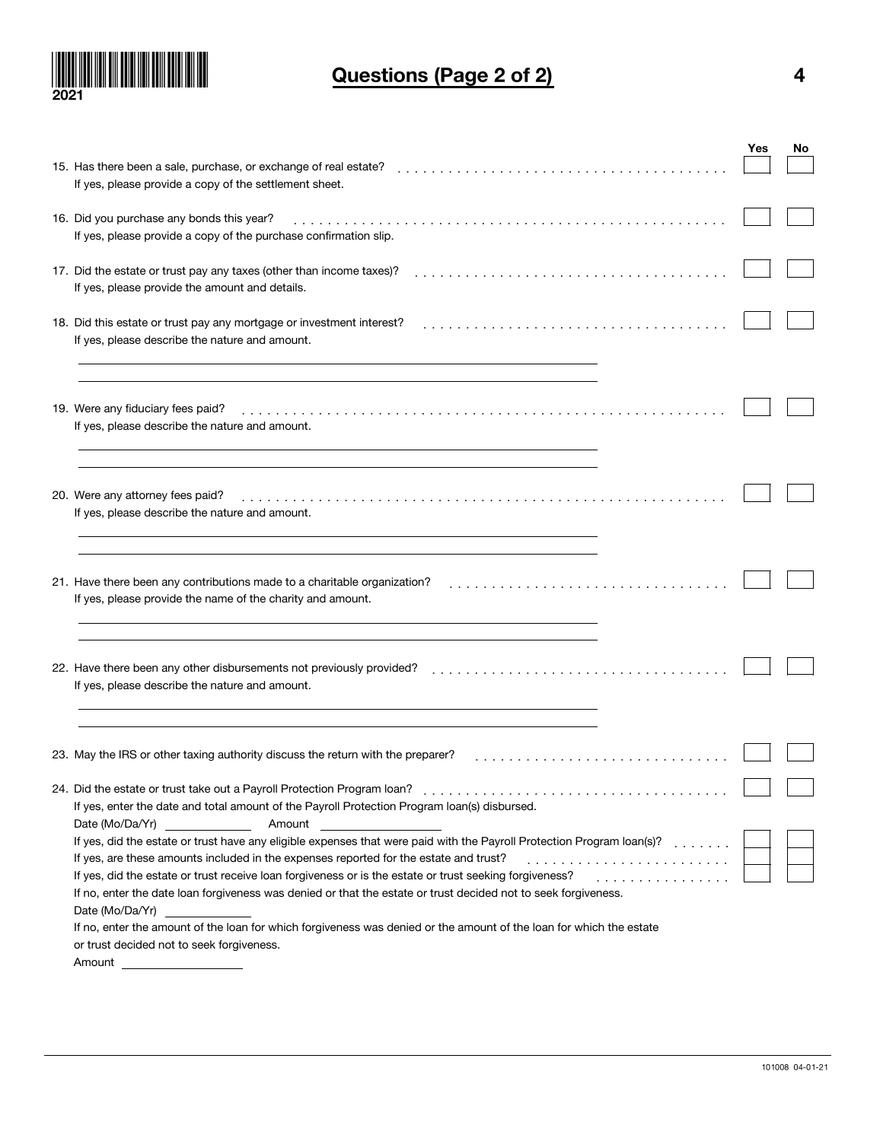

# Questions (Page 2 of 2) 4

|                                                                                                                        | Yes | No |
|------------------------------------------------------------------------------------------------------------------------|-----|----|
| 15. Has there been a sale, purchase, or exchange of real estate?                                                       |     |    |
| If yes, please provide a copy of the settlement sheet.                                                                 |     |    |
|                                                                                                                        |     |    |
| 16. Did you purchase any bonds this year?                                                                              |     |    |
| If yes, please provide a copy of the purchase confirmation slip.                                                       |     |    |
|                                                                                                                        |     |    |
| 17. Did the estate or trust pay any taxes (other than income taxes)?                                                   |     |    |
| If yes, please provide the amount and details.                                                                         |     |    |
|                                                                                                                        |     |    |
| 18. Did this estate or trust pay any mortgage or investment interest?                                                  |     |    |
| If yes, please describe the nature and amount.                                                                         |     |    |
|                                                                                                                        |     |    |
|                                                                                                                        |     |    |
| 19. Were any fiduciary fees paid?                                                                                      |     |    |
| If yes, please describe the nature and amount.                                                                         |     |    |
|                                                                                                                        |     |    |
|                                                                                                                        |     |    |
|                                                                                                                        |     |    |
| 20. Were any attorney fees paid?                                                                                       |     |    |
| If yes, please describe the nature and amount.                                                                         |     |    |
|                                                                                                                        |     |    |
|                                                                                                                        |     |    |
|                                                                                                                        |     |    |
| 21. Have there been any contributions made to a charitable organization?                                               |     |    |
| If yes, please provide the name of the charity and amount.                                                             |     |    |
|                                                                                                                        |     |    |
|                                                                                                                        |     |    |
|                                                                                                                        |     |    |
| 22. Have there been any other disbursements not previously provided?                                                   |     |    |
| If yes, please describe the nature and amount.                                                                         |     |    |
|                                                                                                                        |     |    |
|                                                                                                                        |     |    |
| 23. May the IRS or other taxing authority discuss the return with the preparer?                                        |     |    |
|                                                                                                                        |     |    |
|                                                                                                                        |     |    |
| If yes, enter the date and total amount of the Payroll Protection Program loan(s) disbursed.                           |     |    |
| Date (Mo/Da/Yr)<br>Amount                                                                                              |     |    |
| If yes, did the estate or trust have any eligible expenses that were paid with the Payroll Protection Program Ioan(s)? |     |    |
| If yes, are these amounts included in the expenses reported for the estate and trust?                                  |     |    |
| If yes, did the estate or trust receive loan forgiveness or is the estate or trust seeking forgiveness?<br>.           |     |    |
| If no, enter the date loan forgiveness was denied or that the estate or trust decided not to seek forgiveness.         |     |    |
| Date (Mo/Da/Yr)                                                                                                        |     |    |
| If no, enter the amount of the loan for which forgiveness was denied or the amount of the loan for which the estate    |     |    |
| or trust decided not to seek forgiveness.                                                                              |     |    |
| Amount                                                                                                                 |     |    |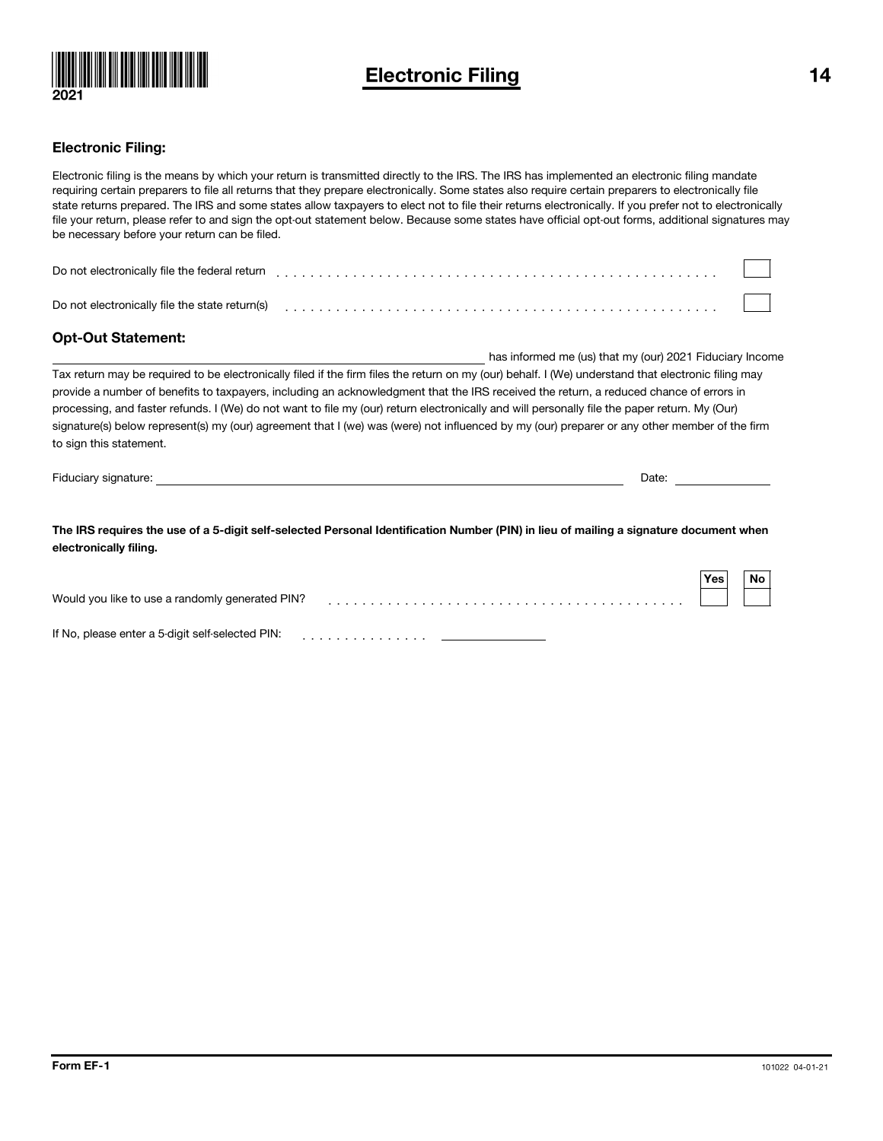

## Electronic Filing 14

### Electronic Filing:

Electronic filing is the means by which your return is transmitted directly to the IRS. The IRS has implemented an electronic filing mandate requiring certain preparers to file all returns that they prepare electronically. Some states also require certain preparers to electronically file state returns prepared. The IRS and some states allow taxpayers to elect not to file their returns electronically. If you prefer not to electronically file your return, please refer to and sign the opt-out statement below. Because some states have official opt-out forms, additional signatures may be necessary before your return can be filed.

| Do not electronically file the federal return  |  |  |  |  |  |  |  |  |  |  |  |  |  |
|------------------------------------------------|--|--|--|--|--|--|--|--|--|--|--|--|--|
| Do not electronically file the state return(s) |  |  |  |  |  |  |  |  |  |  |  |  |  |

### Opt-Out Statement:

has informed me (us) that my (our) 2021 Fiduciary Income Tax return may be required to be electronically filed if the firm files the return on my (our) behalf. I (We) understand that electronic filing may provide a number of benefits to taxpayers, including an acknowledgment that the IRS received the return, a reduced chance of errors in processing, and faster refunds. I (We) do not want to file my (our) return electronically and will personally file the paper return. My (Our) signature(s) below represent(s) my (our) agreement that I (we) was (were) not influenced by my (our) preparer or any other member of the firm to sign this statement.

Fiduciary signature: Date:

The IRS requires the use of a 5-digit self-selected Personal Identification Number (PIN) in lieu of mailing a signature document when electronically filing.

|                                                  | <b>Yes</b> | No |
|--------------------------------------------------|------------|----|
| Would you like to use a randomly generated PIN?  |            |    |
|                                                  |            |    |
| If No, please enter a 5-digit self-selected PIN: |            |    |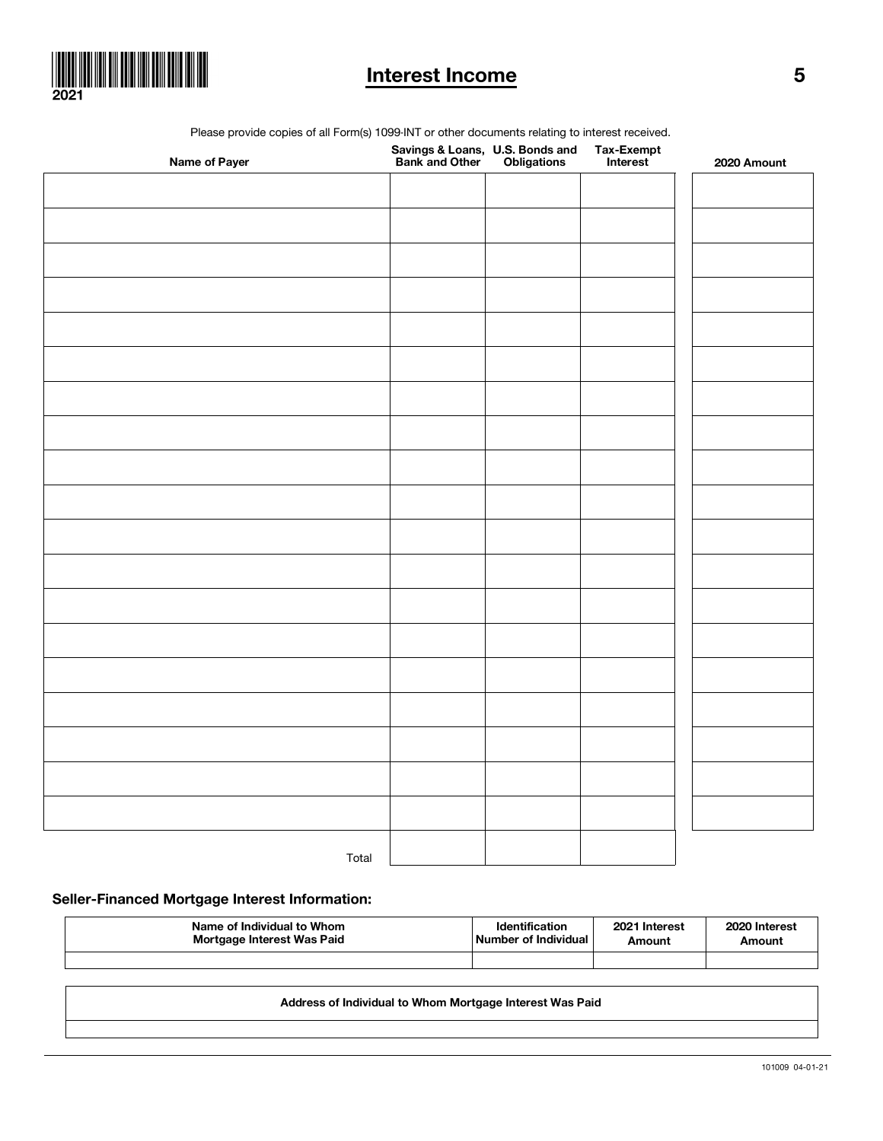

## Interest Income 5

Please provide copies of all Form(s) 1099-INT or other documents relating to interest received.

| Name of Payer |  | Tax-Exempt<br>Interest | 2020 Amount |
|---------------|--|------------------------|-------------|
|               |  |                        |             |
|               |  |                        |             |
|               |  |                        |             |
|               |  |                        |             |
|               |  |                        |             |
|               |  |                        |             |
|               |  |                        |             |
|               |  |                        |             |
|               |  |                        |             |
|               |  |                        |             |
|               |  |                        |             |
|               |  |                        |             |
|               |  |                        |             |
|               |  |                        |             |
|               |  |                        |             |
|               |  |                        |             |
|               |  |                        |             |
|               |  |                        |             |
|               |  |                        |             |
|               |  |                        |             |
| Total         |  |                        |             |

Seller-Financed Mortgage Interest Information:

| Name of Individual to Whom | <b>Identification</b> | 2021 Interest | 2020 Interest |
|----------------------------|-----------------------|---------------|---------------|
| Mortgage Interest Was Paid | Number of Individual  | Amount        | Amount        |
|                            |                       |               |               |

Address of Individual to Whom Mortgage Interest Was Paid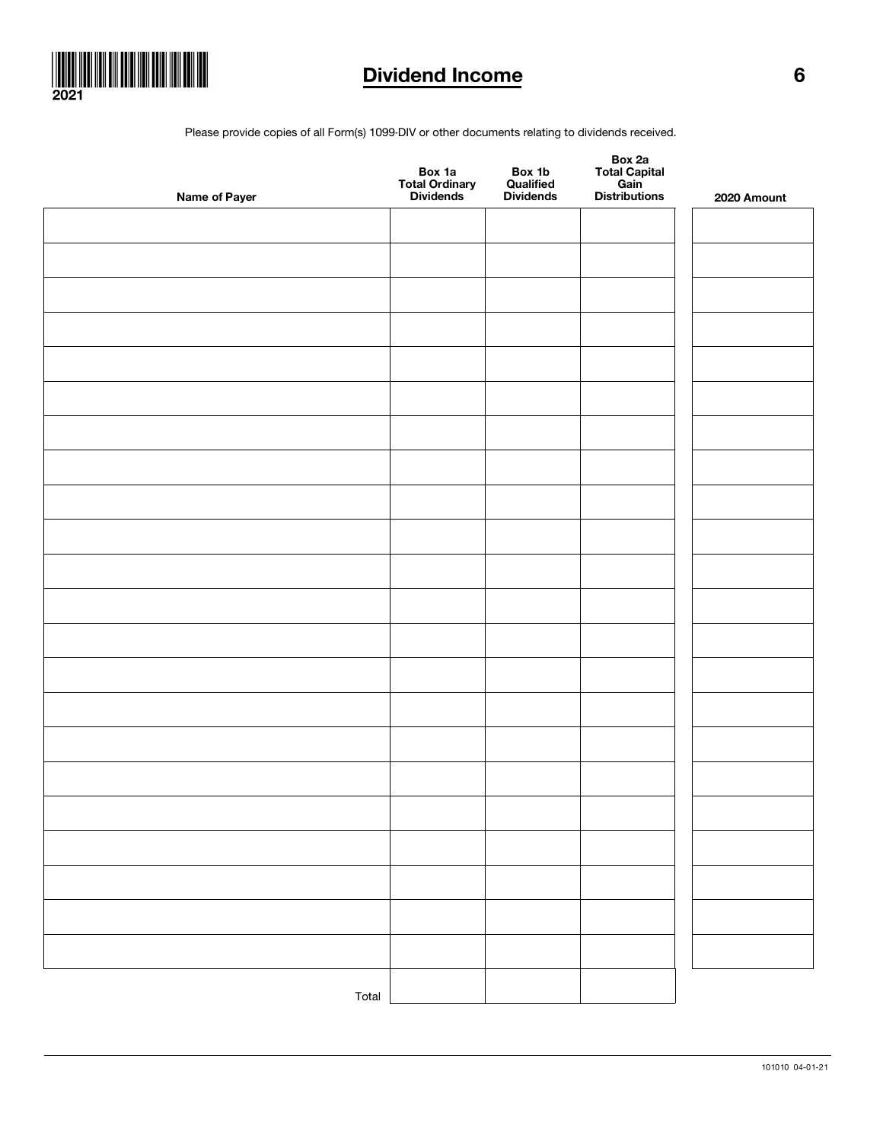

# Dividend Income 6

Please provide copies of all Form(s) 1099-DIV or other documents relating to dividends received.

| Name of Payer | Box 1a<br>Total Ordinary<br>Dividends | Box 1b<br>Qualified<br>Dividends | Box 2a<br>Total Capital<br>Gain<br>Distributions | 2020 Amount |
|---------------|---------------------------------------|----------------------------------|--------------------------------------------------|-------------|
|               |                                       |                                  |                                                  |             |
|               |                                       |                                  |                                                  |             |
|               |                                       |                                  |                                                  |             |
|               |                                       |                                  |                                                  |             |
|               |                                       |                                  |                                                  |             |
|               |                                       |                                  |                                                  |             |
|               |                                       |                                  |                                                  |             |
|               |                                       |                                  |                                                  |             |
|               |                                       |                                  |                                                  |             |
|               |                                       |                                  |                                                  |             |
|               |                                       |                                  |                                                  |             |
|               |                                       |                                  |                                                  |             |
|               |                                       |                                  |                                                  |             |
|               |                                       |                                  |                                                  |             |
|               |                                       |                                  |                                                  |             |
|               |                                       |                                  |                                                  |             |
|               |                                       |                                  |                                                  |             |
|               |                                       |                                  |                                                  |             |
|               |                                       |                                  |                                                  |             |
|               |                                       |                                  |                                                  |             |
|               |                                       |                                  |                                                  |             |
|               |                                       |                                  |                                                  |             |
| Total         |                                       |                                  |                                                  |             |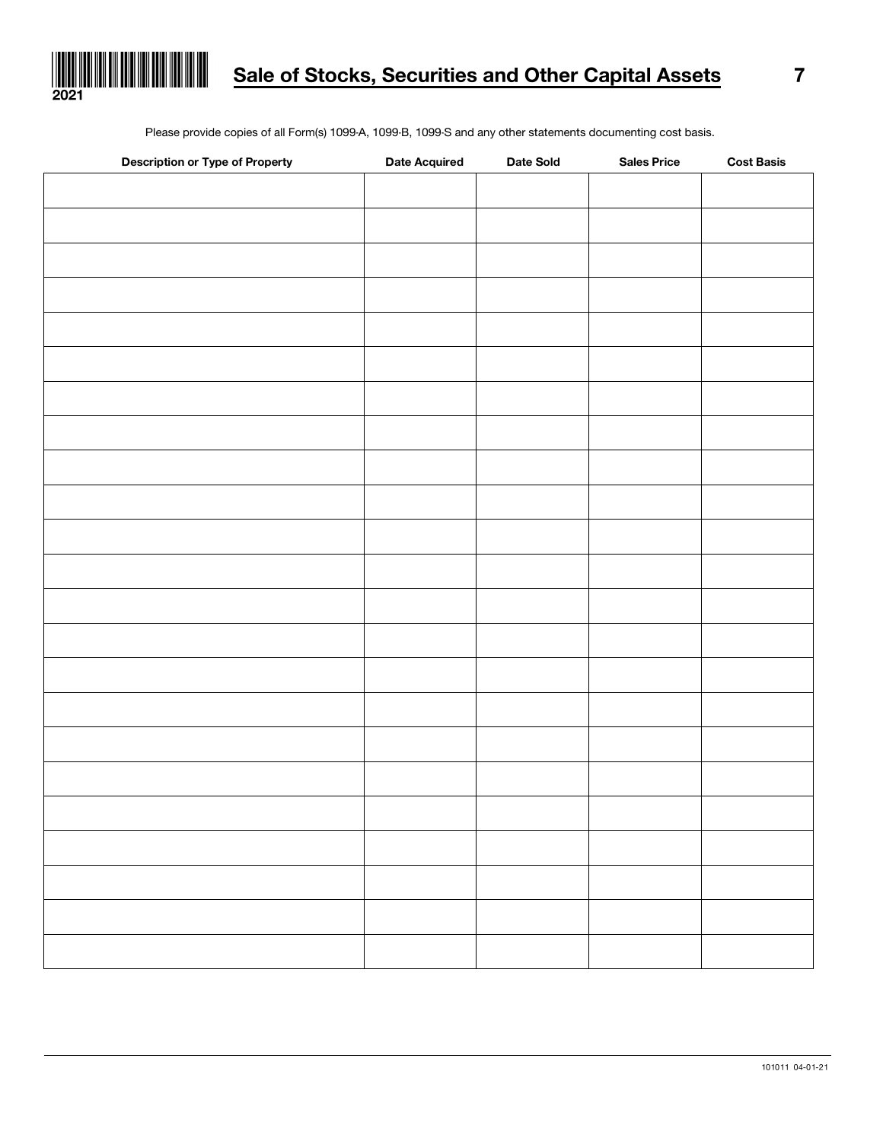

Please provide copies of all Form(s) 1099-A, 1099-B, 1099-S and any other statements documenting cost basis.

| <b>Description or Type of Property</b> | <b>Date Acquired</b> | Date Sold | <b>Sales Price</b> | <b>Cost Basis</b> |
|----------------------------------------|----------------------|-----------|--------------------|-------------------|
|                                        |                      |           |                    |                   |
|                                        |                      |           |                    |                   |
|                                        |                      |           |                    |                   |
|                                        |                      |           |                    |                   |
|                                        |                      |           |                    |                   |
|                                        |                      |           |                    |                   |
|                                        |                      |           |                    |                   |
|                                        |                      |           |                    |                   |
|                                        |                      |           |                    |                   |
|                                        |                      |           |                    |                   |
|                                        |                      |           |                    |                   |
|                                        |                      |           |                    |                   |
|                                        |                      |           |                    |                   |
|                                        |                      |           |                    |                   |
|                                        |                      |           |                    |                   |
|                                        |                      |           |                    |                   |
|                                        |                      |           |                    |                   |
|                                        |                      |           |                    |                   |
|                                        |                      |           |                    |                   |
|                                        |                      |           |                    |                   |
|                                        |                      |           |                    |                   |
|                                        |                      |           |                    |                   |
|                                        |                      |           |                    |                   |
|                                        |                      |           |                    |                   |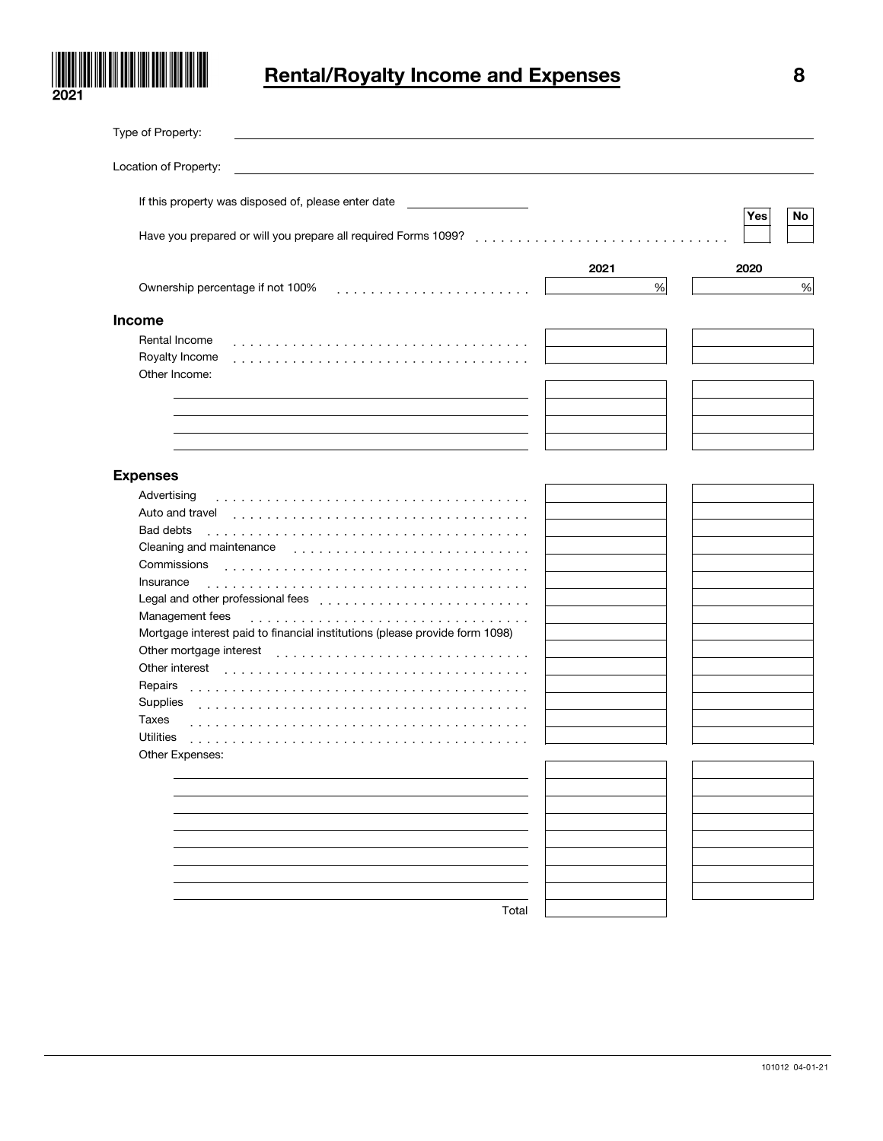

# Rental/Royalty Income and Expenses 8

| Type of Property:                                                                                         |      |           |
|-----------------------------------------------------------------------------------------------------------|------|-----------|
| Location of Property:                                                                                     |      |           |
| If this property was disposed of, please enter date<br><u>production and the contract of the contract</u> |      | Yes<br>No |
|                                                                                                           |      |           |
|                                                                                                           | 2021 | 2020      |
| Ownership percentage if not 100%                                                                          | $\%$ | $\%$      |
| <b>Income</b>                                                                                             |      |           |
| Rental Income<br>Royalty Income<br>Other Income:                                                          |      |           |
|                                                                                                           |      |           |
|                                                                                                           |      |           |
| <b>Expenses</b>                                                                                           |      |           |
| Advertising                                                                                               |      |           |
| Auto and travel                                                                                           |      |           |
| Bad debts<br>.                                                                                            |      |           |
| Cleaning and maintenance                                                                                  |      |           |
| Commissions                                                                                               |      |           |
| Insurance<br>.                                                                                            |      |           |
|                                                                                                           |      |           |
| Management fees                                                                                           |      |           |
| Mortgage interest paid to financial institutions (please provide form 1098)                               |      |           |
| Other mortgage interest                                                                                   |      |           |
| Other interest                                                                                            |      |           |
| Repairs                                                                                                   |      |           |
| Supplies                                                                                                  |      |           |
| Taxes                                                                                                     |      |           |
| <b>Utilities</b><br>.<br>Other Expenses:                                                                  |      |           |
|                                                                                                           |      |           |
|                                                                                                           |      |           |
|                                                                                                           |      |           |
|                                                                                                           |      |           |
|                                                                                                           |      |           |
|                                                                                                           |      |           |
|                                                                                                           |      |           |
|                                                                                                           |      |           |
| Total                                                                                                     |      |           |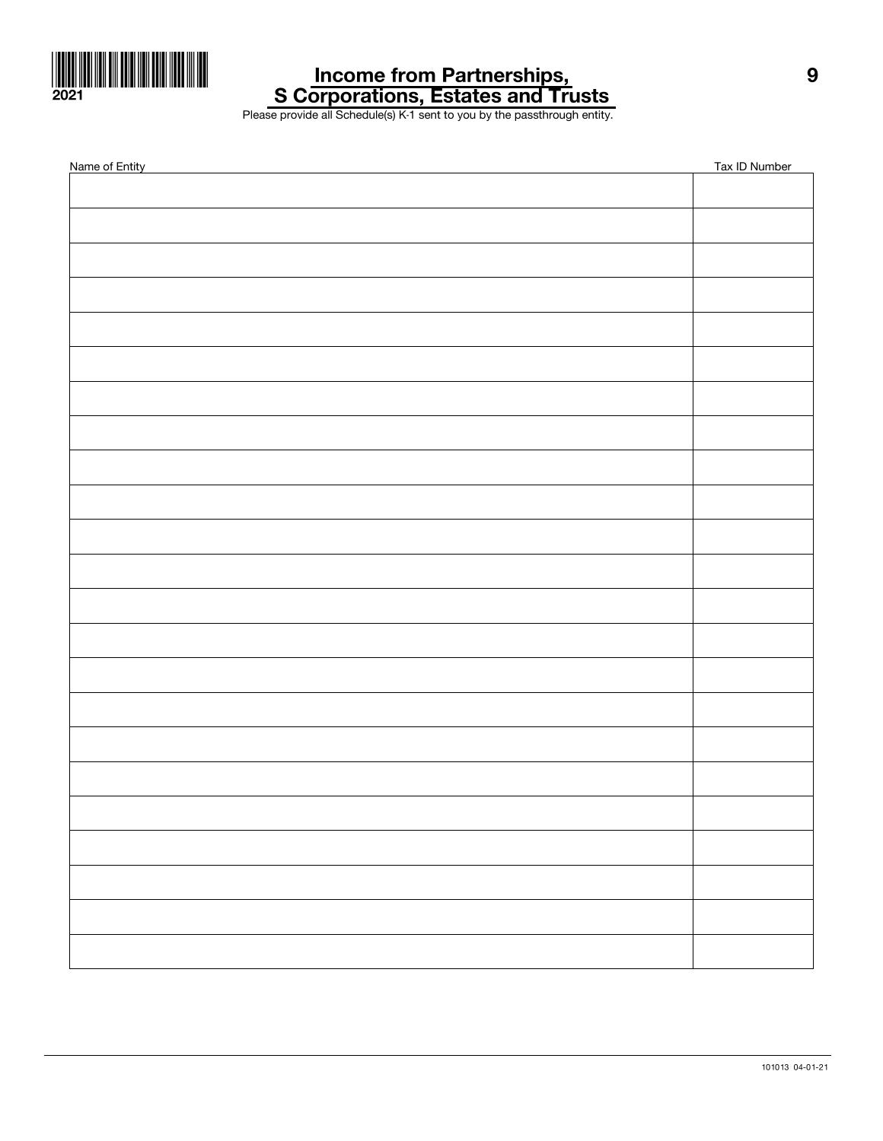

### Income from Partnerships, S Corporations, Estates and Trusts

Please provide all Schedule(s) K-1 sent to you by the passthrough entity.

| Name of Entity | Tax ID Number |
|----------------|---------------|
|                |               |
|                |               |
|                |               |
|                |               |
|                |               |
|                |               |
|                |               |
|                |               |
|                |               |
|                |               |
|                |               |
|                |               |
|                |               |
|                |               |
|                |               |
|                |               |
|                |               |
|                |               |
|                |               |
|                |               |
|                |               |
|                |               |
|                |               |
|                |               |